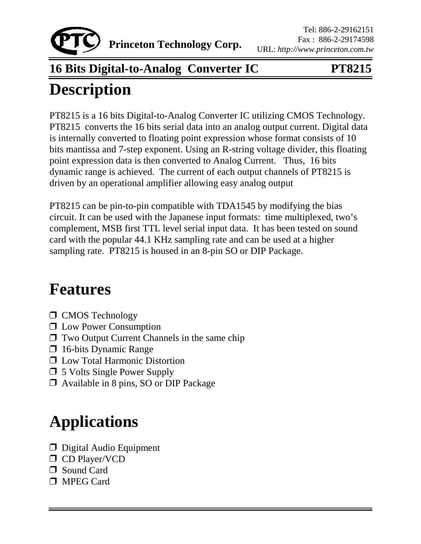

### **16 Bits Digital-to-Analog Converter IC PT8215**

## **Description**

PT8215 is a 16 bits Digital-to-Analog Converter IC utilizing CMOS Technology. PT8215 converts the 16 bits serial data into an analog output current. Digital data is internally converted to floating point expression whose format consists of 10 bits mantissa and 7-step exponent. Using an R-string voltage divider, this floating point expression data is then converted to Analog Current. Thus, 16 bits dynamic range is achieved. The current of each output channels of PT8215 is driven by an operational amplifier allowing easy analog output

PT8215 can be pin-to-pin compatible with TDA1545 by modifying the bias circuit. It can be used with the Japanese input formats: time multiplexed, two's complement, MSB first TTL level serial input data. It has been tested on sound card with the popular 44.1 KHz sampling rate and can be used at a higher sampling rate. PT8215 is housed in an 8-pin SO or DIP Package.

## **Features**

- **I** CMOS Technology
- **I** Low Power Consumption
- $\Box$  Two Output Current Channels in the same chip
- $\Box$  16-bits Dynamic Range
- $\Box$  Low Total Harmonic Distortion
- $\Box$  5 Volts Single Power Supply
- ! Available in 8 pins, SO or DIP Package

# **Applications**

- *D* Digital Audio Equipment
- **D** CD Player/VCD
- □ Sound Card
- **I** MPEG Card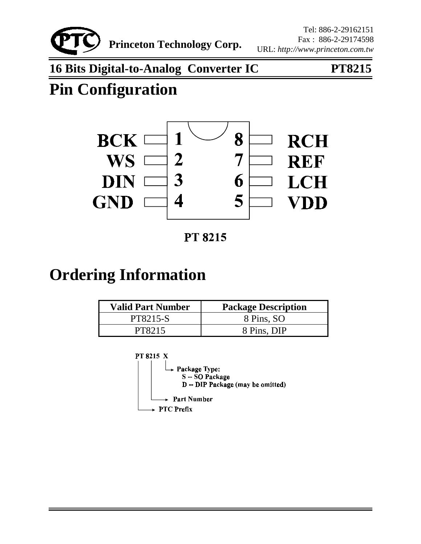

**16 Bits Digital-to-Analog Converter IC PT8215**

## **Pin Configuration**



**PT 8215** 

### **Ordering Information**

| <b>Valid Part Number</b> | <b>Package Description</b> |
|--------------------------|----------------------------|
| <b>PT8215-S</b>          | 8 Pins, SO                 |
| PT8215                   | 8 Pins, DIP                |